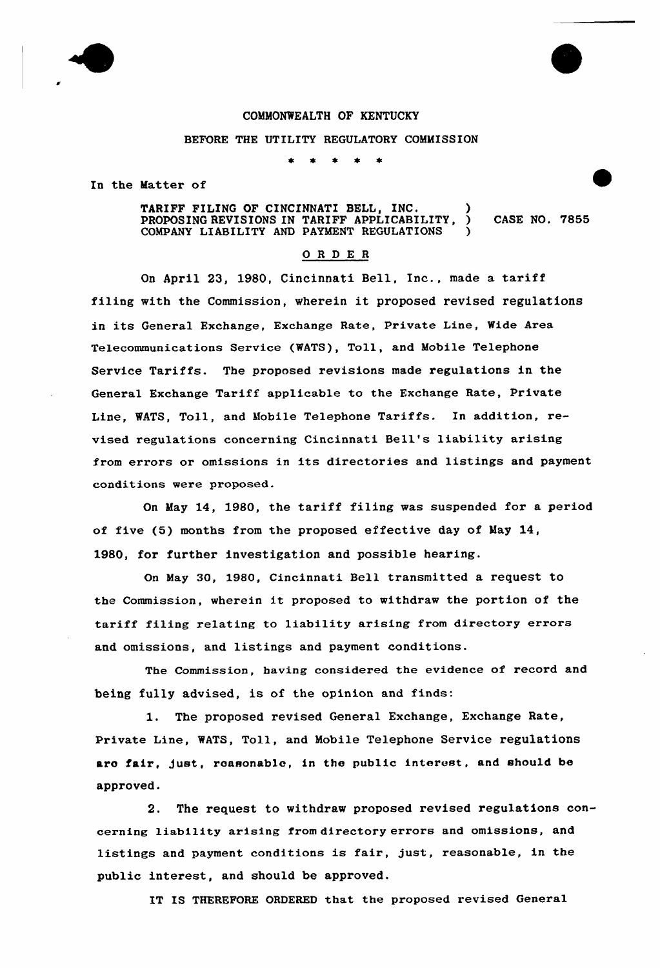

## COMMONWEALTH OF KENTUCKY

## BEFORE THE UTILITY REGULATORY COMMISSION

In the Matter of

TARIFF FILING OF CINCINNATI BELL, INC. PROPOSING REVISIONS IN TARIFF APPLICABILITY, ) CASE NO. 7855 COMPANY LIABILITY AND PAYMENT REGULATIONS )

## ORDER

On April 23, 1980, Cincinnati Bell, Inc., made a tariff filing with the Commission, wherein it proposed revised regulations in its General Exchange, Exchange Rate, Private Line, Wide Area Telecommunications Service (WATS), Toll, and Mobile Telephone Service Tariffs. The proposed revisions made regulations in the General Exchange Tariff applicable to the Exchange Rate, Private Line, WATS, Toll, and Mobile Telephone Tariffs. In addition, revised regulations concerning Cincinnati Bell's liability arising from errors or omissions in its directories and listings and payment conditions were proposed.

On May 14, 1980, the tariff filing was suspended for a period of five (5) months from the proposed effective day of May 14, 1980, for further investigation and possible hearing.

On May 30, 1980, Cincinnati Bell transmitted a request to the Commission, wherein it proposed to withdraw the portion of the tariff filing relating to liability arising from directory errors and omissions, and listings and payment conditions.

The Commission, having considered the evidence of record and being fully advised, is of the opinion and finds:

1. The proposed revised General Exchange, Exchange Rate, Private Line, WATS, Toll, and Mobile Telephone Service regulations aro fair, just, roasonable, in the public interest, and should be approved.

2. The request to withdraw proposed revised regulations concerning liability arising from directory errors and omissions, and listings and payment conditions is fair, just, reasonable, in the public interest, and should be approved.

IT IS THEREFORE ORDERED that the proposed revised General